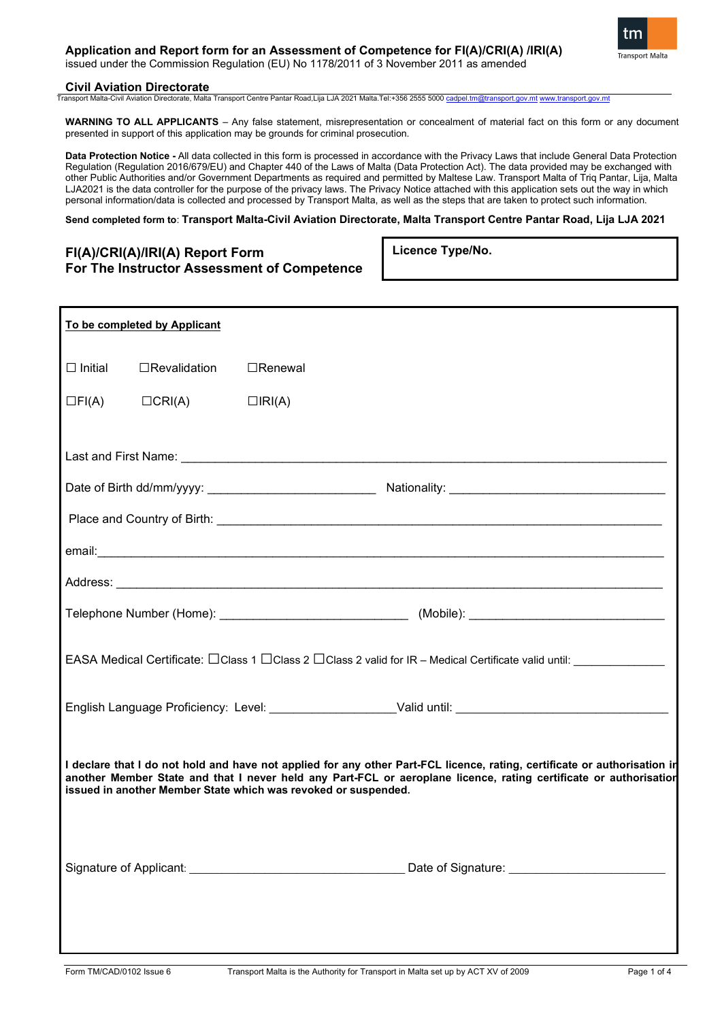# **Application and Report form for an Assessment of Competence for FI(A)/CRI(A) /IRI(A)**

issued under the Commission Regulation (EU) No 1178/2011 of 3 November 2011 as amended

## **Civil Aviation Directorate**

Transport Malta-Civil Aviation Directorate, Malta Transport Centre Pantar Road,Lija LJA 2021 Malta.Tel:+356 2555 5000 cad

**WARNING TO ALL APPLICANTS** – Any false statement, misrepresentation or concealment of material fact on this form or any document presented in support of this application may be grounds for criminal prosecution.

**Data Protection Notice -** All data collected in this form is processed in accordance with the Privacy Laws that include General Data Protection Regulation (Regulation 2016/679/EU) and Chapter 440 of the Laws of Malta (Data Protection Act). The data provided may be exchanged with other Public Authorities and/or Government Departments as required and permitted by Maltese Law. Transport Malta of Triq Pantar, Lija, Malta LJA2021 is the data controller for the purpose of the privacy laws. The Privacy Notice attached with this application sets out the way in which personal information/data is collected and processed by Transport Malta, as well as the steps that are taken to protect such information.

### **Send completed form to**: **Transport Malta-Civil Aviation Directorate, Malta Transport Centre Pantar Road, Lija LJA 2021**

# **FI(A)/CRI(A)/IRI(A) Report Form For The Instructor Assessment of Competence**

**Licence Type/No.**

| To be completed by Applicant                                                                                                                                                                                                                                                                                     |                                                   |                                               |  |  |  |  |  |
|------------------------------------------------------------------------------------------------------------------------------------------------------------------------------------------------------------------------------------------------------------------------------------------------------------------|---------------------------------------------------|-----------------------------------------------|--|--|--|--|--|
|                                                                                                                                                                                                                                                                                                                  | $\Box$ Initial $\Box$ Revalidation $\Box$ Renewal |                                               |  |  |  |  |  |
| $\Box FI(A)$                                                                                                                                                                                                                                                                                                     | $\Box$ CRI(A)                                     | $\Box$ IRI(A)                                 |  |  |  |  |  |
|                                                                                                                                                                                                                                                                                                                  |                                                   |                                               |  |  |  |  |  |
|                                                                                                                                                                                                                                                                                                                  |                                                   |                                               |  |  |  |  |  |
|                                                                                                                                                                                                                                                                                                                  |                                                   |                                               |  |  |  |  |  |
|                                                                                                                                                                                                                                                                                                                  |                                                   |                                               |  |  |  |  |  |
|                                                                                                                                                                                                                                                                                                                  |                                                   |                                               |  |  |  |  |  |
|                                                                                                                                                                                                                                                                                                                  |                                                   |                                               |  |  |  |  |  |
| EASA Medical Certificate: □ Class 1 □ Class 2 □ Class 2 valid for IR - Medical Certificate valid until: ____________                                                                                                                                                                                             |                                                   |                                               |  |  |  |  |  |
| English Language Proficiency: Level: _____________________Valid until: ___________________________________                                                                                                                                                                                                       |                                                   |                                               |  |  |  |  |  |
| I declare that I do not hold and have not applied for any other Part-FCL licence, rating, certificate or authorisation ir<br>another Member State and that I never held any Part-FCL or aeroplane licence, rating certificate or authorisatior<br>issued in another Member State which was revoked or suspended. |                                                   |                                               |  |  |  |  |  |
|                                                                                                                                                                                                                                                                                                                  |                                                   | Date of Signature: __________________________ |  |  |  |  |  |

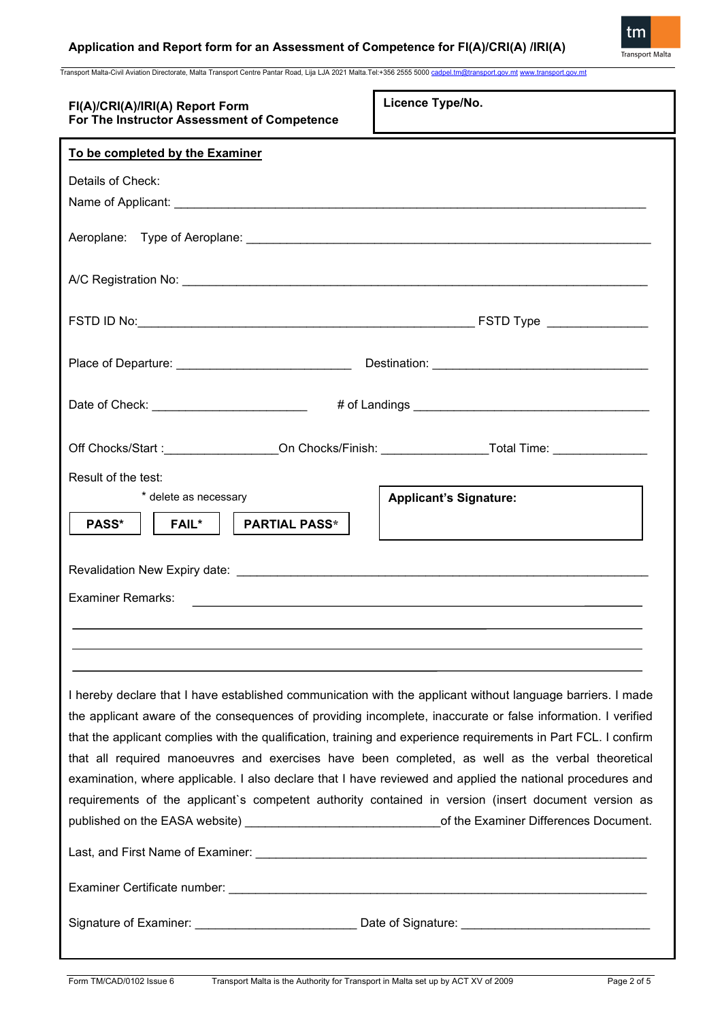Transport Malta-Civil Aviation Directorate, Malta Transport Centre Pantar Road, Lija LJA 2021 Malta.Tel:+356 2555 500[0 cadpel.tm@transport.gov.mt](mailto:cadpel.tm@transport.gov.mt) [www.transport.gov.mt](http://www.transport.gov.mt/)

| FI(A)/CRI(A)/IRI(A) Report Form<br>For The Instructor Assessment of Competence                                                                                                                                                                                                                                                                                                                                                                                                                                                                                                                                                                                                                                                                                                     | Licence Type/No.                                                                          |  |  |  |
|------------------------------------------------------------------------------------------------------------------------------------------------------------------------------------------------------------------------------------------------------------------------------------------------------------------------------------------------------------------------------------------------------------------------------------------------------------------------------------------------------------------------------------------------------------------------------------------------------------------------------------------------------------------------------------------------------------------------------------------------------------------------------------|-------------------------------------------------------------------------------------------|--|--|--|
| To be completed by the Examiner                                                                                                                                                                                                                                                                                                                                                                                                                                                                                                                                                                                                                                                                                                                                                    |                                                                                           |  |  |  |
| Details of Check:                                                                                                                                                                                                                                                                                                                                                                                                                                                                                                                                                                                                                                                                                                                                                                  |                                                                                           |  |  |  |
|                                                                                                                                                                                                                                                                                                                                                                                                                                                                                                                                                                                                                                                                                                                                                                                    |                                                                                           |  |  |  |
|                                                                                                                                                                                                                                                                                                                                                                                                                                                                                                                                                                                                                                                                                                                                                                                    |                                                                                           |  |  |  |
|                                                                                                                                                                                                                                                                                                                                                                                                                                                                                                                                                                                                                                                                                                                                                                                    |                                                                                           |  |  |  |
|                                                                                                                                                                                                                                                                                                                                                                                                                                                                                                                                                                                                                                                                                                                                                                                    |                                                                                           |  |  |  |
| Place of Departure: _________________________________                                                                                                                                                                                                                                                                                                                                                                                                                                                                                                                                                                                                                                                                                                                              |                                                                                           |  |  |  |
| Date of Check: ___________________________                                                                                                                                                                                                                                                                                                                                                                                                                                                                                                                                                                                                                                                                                                                                         |                                                                                           |  |  |  |
| Off Chocks/Start :________________On Chocks/Finish: ___________________Total Time: ________________                                                                                                                                                                                                                                                                                                                                                                                                                                                                                                                                                                                                                                                                                |                                                                                           |  |  |  |
| Result of the test:<br>* delete as necessary                                                                                                                                                                                                                                                                                                                                                                                                                                                                                                                                                                                                                                                                                                                                       | <b>Applicant's Signature:</b>                                                             |  |  |  |
| <b>PARTIAL PASS*</b><br><b>PASS*</b><br><b>FAIL*</b>                                                                                                                                                                                                                                                                                                                                                                                                                                                                                                                                                                                                                                                                                                                               | the control of the control of the control of the control of the control of the control of |  |  |  |
|                                                                                                                                                                                                                                                                                                                                                                                                                                                                                                                                                                                                                                                                                                                                                                                    |                                                                                           |  |  |  |
| <b>Examiner Remarks:</b>                                                                                                                                                                                                                                                                                                                                                                                                                                                                                                                                                                                                                                                                                                                                                           |                                                                                           |  |  |  |
|                                                                                                                                                                                                                                                                                                                                                                                                                                                                                                                                                                                                                                                                                                                                                                                    |                                                                                           |  |  |  |
| I hereby declare that I have established communication with the applicant without language barriers. I made<br>the applicant aware of the consequences of providing incomplete, inaccurate or false information. I verified<br>that the applicant complies with the qualification, training and experience requirements in Part FCL. I confirm<br>that all required manoeuvres and exercises have been completed, as well as the verbal theoretical<br>examination, where applicable. I also declare that I have reviewed and applied the national procedures and<br>requirements of the applicant's competent authority contained in version (insert document version as<br>published on the EASA website) _________________________________of the Examiner Differences Document. |                                                                                           |  |  |  |
| Signature of Examiner: __________________________________Date of Signature: __________________________________                                                                                                                                                                                                                                                                                                                                                                                                                                                                                                                                                                                                                                                                     |                                                                                           |  |  |  |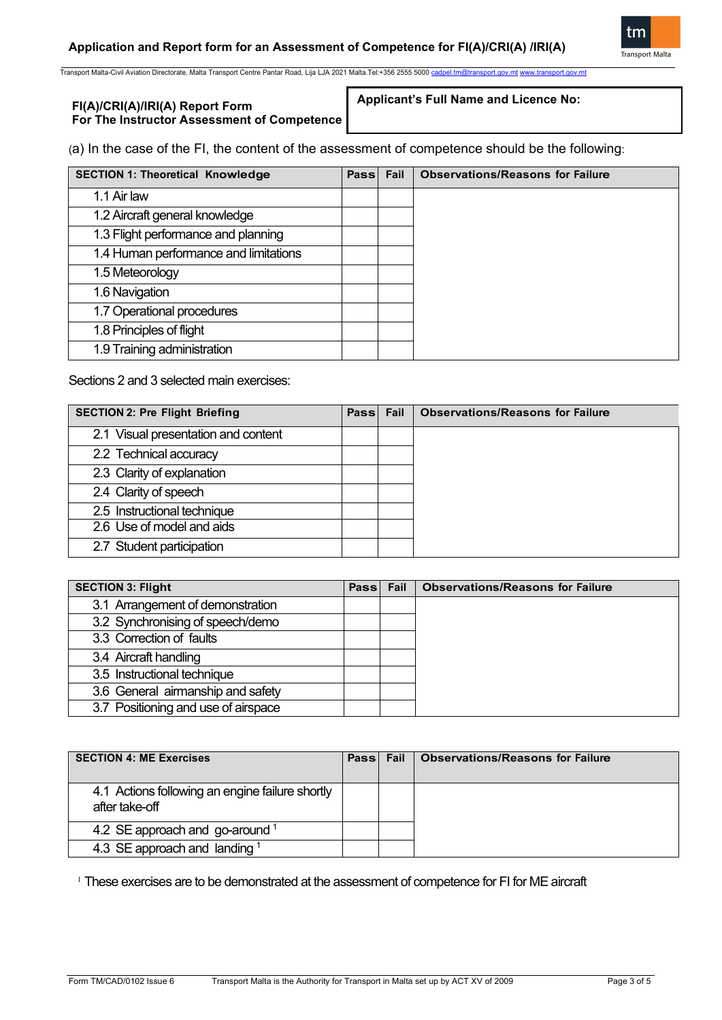

Transport Malta-Civil Aviation Directorate, Malta Transport Centre Pantar Road, Lija LJA 2021 Malta.Tel:+356 2555 500[0 cadpel.tm@transport.gov.mt](mailto:cadpel.tm@transport.gov.mt) [www.transport.gov.mt](http://www.transport.gov.mt/)

# **FI(A)/CRI(A)/IRI(A) Report Form For The Instructor Assessment of Competence**

**Applicant's Full Name and Licence No:**

(a) In the case of the FI, the content of the assessment of competence should be the following:

| <b>SECTION 1: Theoretical Knowledge</b> | Pass Fail | <b>Observations/Reasons for Failure</b> |
|-----------------------------------------|-----------|-----------------------------------------|
| 1.1 Air law                             |           |                                         |
| 1.2 Aircraft general knowledge          |           |                                         |
| 1.3 Flight performance and planning     |           |                                         |
| 1.4 Human performance and limitations   |           |                                         |
| 1.5 Meteorology                         |           |                                         |
| 1.6 Navigation                          |           |                                         |
| 1.7 Operational procedures              |           |                                         |
| 1.8 Principles of flight                |           |                                         |
| 1.9 Training administration             |           |                                         |

Sections 2 and 3 selected main exercises:

| <b>SECTION 2: Pre Flight Briefing</b> | Pass Fail | <b>Observations/Reasons for Failure</b> |
|---------------------------------------|-----------|-----------------------------------------|
| 2.1 Visual presentation and content   |           |                                         |
| 2.2 Technical accuracy                |           |                                         |
| 2.3 Clarity of explanation            |           |                                         |
| 2.4 Clarity of speech                 |           |                                         |
| 2.5 Instructional technique           |           |                                         |
| 2.6 Use of model and aids             |           |                                         |
| 2.7 Student participation             |           |                                         |

| <b>SECTION 3: Flight</b>            |  | Pass Fail   Observations/Reasons for Failure |
|-------------------------------------|--|----------------------------------------------|
| 3.1 Arrangement of demonstration    |  |                                              |
| 3.2 Synchronising of speech/demo    |  |                                              |
| 3.3 Correction of faults            |  |                                              |
| 3.4 Aircraft handling               |  |                                              |
| 3.5 Instructional technique         |  |                                              |
| 3.6 General airmanship and safety   |  |                                              |
| 3.7 Positioning and use of airspace |  |                                              |

| <b>SECTION 4: ME Exercises</b>                                    | Pass Fail | <b>Observations/Reasons for Failure</b> |
|-------------------------------------------------------------------|-----------|-----------------------------------------|
| 4.1 Actions following an engine failure shortly<br>after take-off |           |                                         |
| 4.2 SE approach and go-around $1$                                 |           |                                         |
| 4.3 SE approach and landing $1$                                   |           |                                         |

<sup>1</sup> These exercises are to be demonstrated at the assessment of competence for FI for ME aircraft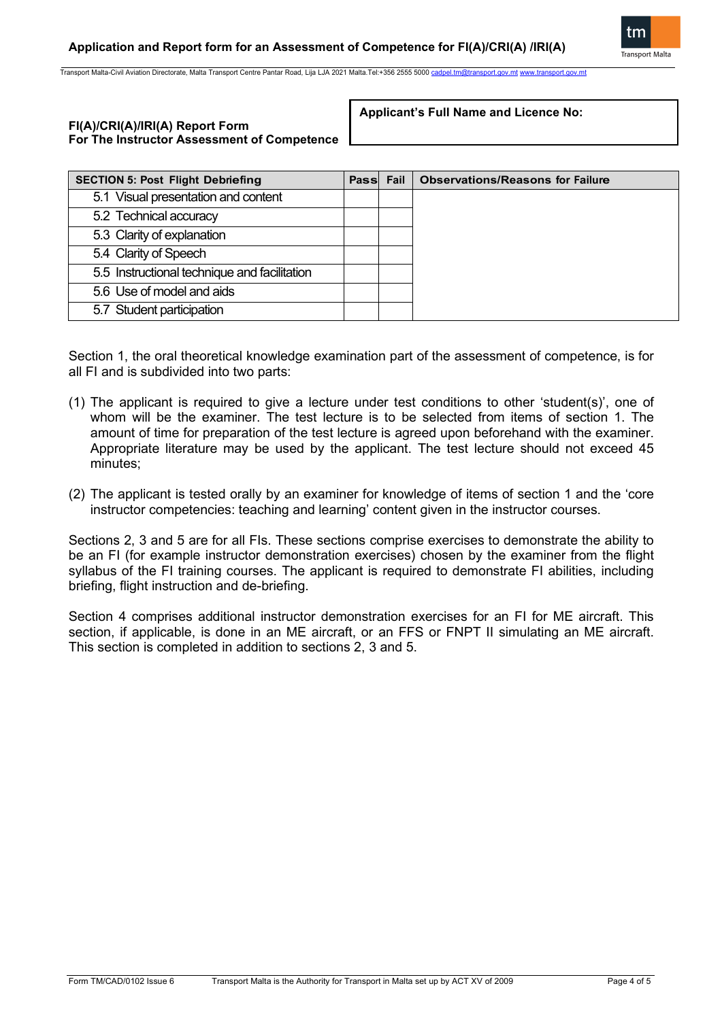

Transport Malta-Civil Aviation Directorate, Malta Transport Centre Pantar Road, Lija LJA 2021 Malta.Tel:+356 2555 5000 c

# **FI(A)/CRI(A)/IRI(A) Report Form For The Instructor Assessment of Competence**

**Applicant's Full Name and Licence No:**

| <b>SECTION 5: Post Flight Debriefing</b>     |  | Pass Fail | <b>Observations/Reasons for Failure</b> |
|----------------------------------------------|--|-----------|-----------------------------------------|
| 5.1 Visual presentation and content          |  |           |                                         |
| 5.2 Technical accuracy                       |  |           |                                         |
| 5.3 Clarity of explanation                   |  |           |                                         |
| 5.4 Clarity of Speech                        |  |           |                                         |
| 5.5 Instructional technique and facilitation |  |           |                                         |
| 5.6 Use of model and aids                    |  |           |                                         |
| 5.7 Student participation                    |  |           |                                         |

Section 1, the oral theoretical knowledge examination part of the assessment of competence, is for all FI and is subdivided into two parts:

- (1) The applicant is required to give a lecture under test conditions to other 'student(s)', one of whom will be the examiner. The test lecture is to be selected from items of section 1. The amount of time for preparation of the test lecture is agreed upon beforehand with the examiner. Appropriate literature may be used by the applicant. The test lecture should not exceed 45 minutes;
- (2) The applicant is tested orally by an examiner for knowledge of items of section 1 and the 'core instructor competencies: teaching and learning' content given in the instructor courses.

Sections 2, 3 and 5 are for all FIs. These sections comprise exercises to demonstrate the ability to be an FI (for example instructor demonstration exercises) chosen by the examiner from the flight syllabus of the FI training courses. The applicant is required to demonstrate FI abilities, including briefing, flight instruction and de-briefing.

Section 4 comprises additional instructor demonstration exercises for an FI for ME aircraft. This section, if applicable, is done in an ME aircraft, or an FFS or FNPT II simulating an ME aircraft. This section is completed in addition to sections 2, 3 and 5.